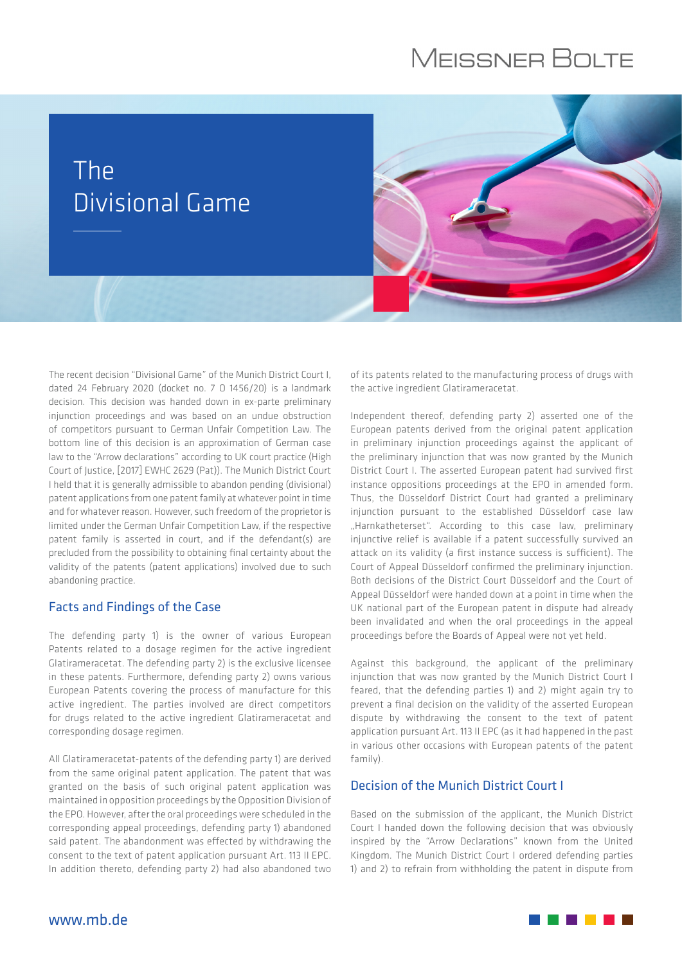# **MEISSNER BOLTE**

# The Divisional Game



The recent decision "Divisional Game" of the Munich District Court I, dated 24 February 2020 (docket no. 7 O 1456/20) is a landmark decision. This decision was handed down in ex-parte preliminary injunction proceedings and was based on an undue obstruction of competitors pursuant to German Unfair Competition Law. The bottom line of this decision is an approximation of German case law to the "Arrow declarations" according to UK court practice (High Court of Justice, [2017] EWHC 2629 (Pat)). The Munich District Court I held that it is generally admissible to abandon pending (divisional) patent applications from one patent family at whatever point in time and for whatever reason. However, such freedom of the proprietor is limited under the German Unfair Competition Law, if the respective patent family is asserted in court, and if the defendant(s) are precluded from the possibility to obtaining final certainty about the validity of the patents (patent applications) involved due to such abandoning practice.

#### Facts and Findings of the Case

The defending party 1) is the owner of various European Patents related to a dosage regimen for the active ingredient Glatirameracetat. The defending party 2) is the exclusive licensee in these patents. Furthermore, defending party 2) owns various European Patents covering the process of manufacture for this active ingredient. The parties involved are direct competitors for drugs related to the active ingredient Glatirameracetat and corresponding dosage regimen.

All Glatirameracetat-patents of the defending party 1) are derived from the same original patent application. The patent that was granted on the basis of such original patent application was maintained in opposition proceedings by the Opposition Division of the EPO. However, after the oral proceedings were scheduled in the corresponding appeal proceedings, defending party 1) abandoned said patent. The abandonment was effected by withdrawing the consent to the text of patent application pursuant Art. 113 II EPC. In addition thereto, defending party 2) had also abandoned two

of its patents related to the manufacturing process of drugs with the active ingredient Glatirameracetat.

Independent thereof, defending party 2) asserted one of the European patents derived from the original patent application in preliminary injunction proceedings against the applicant of the preliminary injunction that was now granted by the Munich District Court I. The asserted European patent had survived first instance oppositions proceedings at the EPO in amended form. Thus, the Düsseldorf District Court had granted a preliminary injunction pursuant to the established Düsseldorf case law "Harnkatheterset". According to this case law, preliminary injunctive relief is available if a patent successfully survived an attack on its validity (a first instance success is sufficient). The Court of Appeal Düsseldorf confirmed the preliminary injunction. Both decisions of the District Court Düsseldorf and the Court of Appeal Düsseldorf were handed down at a point in time when the UK national part of the European patent in dispute had already been invalidated and when the oral proceedings in the appeal proceedings before the Boards of Appeal were not yet held.

Against this background, the applicant of the preliminary injunction that was now granted by the Munich District Court I feared, that the defending parties 1) and 2) might again try to prevent a final decision on the validity of the asserted European dispute by withdrawing the consent to the text of patent application pursuant Art. 113 II EPC (as it had happened in the past in various other occasions with European patents of the patent family).

### Decision of the Munich District Court I

Based on the submission of the applicant, the Munich District Court I handed down the following decision that was obviously inspired by the "Arrow Declarations" known from the United Kingdom. The Munich District Court I ordered defending parties 1) and 2) to refrain from withholding the patent in dispute from